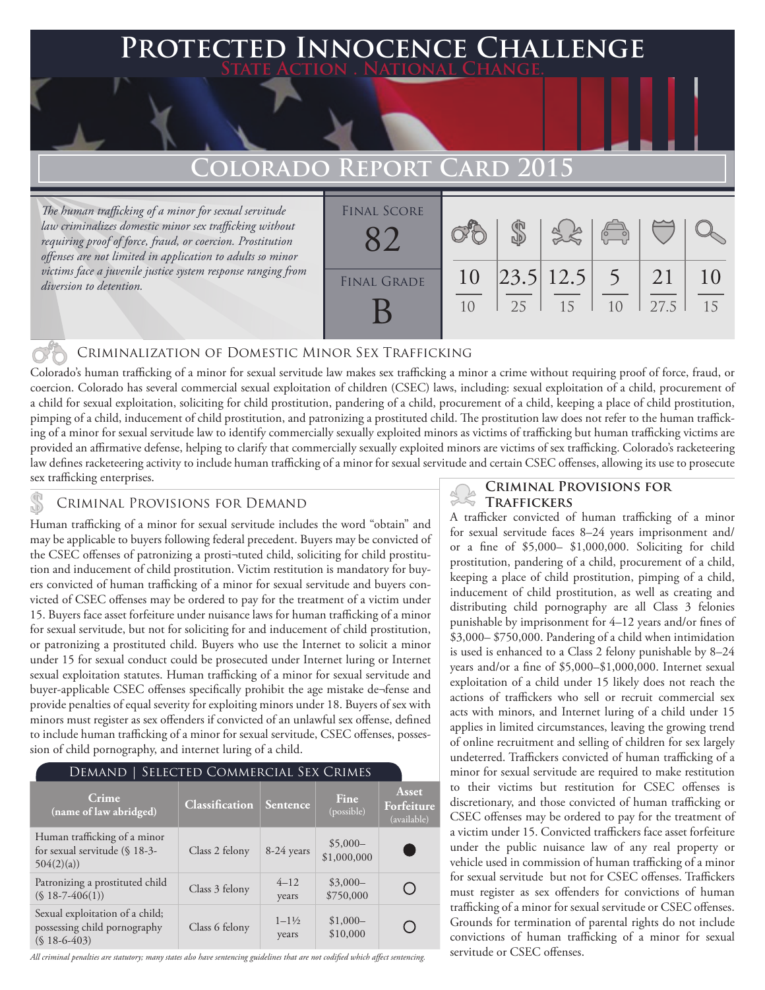## **FED INNOCENCE CHALLENGE State Action . National Change.**

## **COLORADO REPORT**

*The human trafficking of a minor for sexual servitude law criminalizes domestic minor sex trafficking without requiring proof of force, fraud, or coercion. Prostitution offenses are not limited in application to adults so minor victims face a juvenile justice system response ranging from diversion to detention.*

| <b>FINAL SCORE</b> |          |    |                                    |    |            |          |
|--------------------|----------|----|------------------------------------|----|------------|----------|
| <b>FINAL GRADE</b> | 10<br>10 | 25 | $\left  23.5 \right  12.5$ 5<br>15 | 10 | 21<br>27.5 | 10<br>15 |
|                    |          |    |                                    |    |            |          |

### Criminalization of Domestic Minor Sex Trafficking

Colorado's human trafficking of a minor for sexual servitude law makes sex trafficking a minor a crime without requiring proof of force, fraud, or coercion. Colorado has several commercial sexual exploitation of children (CSEC) laws, including: sexual exploitation of a child, procurement of a child for sexual exploitation, soliciting for child prostitution, pandering of a child, procurement of a child, keeping a place of child prostitution, pimping of a child, inducement of child prostitution, and patronizing a prostituted child. The prostitution law does not refer to the human trafficking of a minor for sexual servitude law to identify commercially sexually exploited minors as victims of trafficking but human trafficking victims are provided an affirmative defense, helping to clarify that commercially sexually exploited minors are victims of sex trafficking. Colorado's racketeering law defines racketeering activity to include human trafficking of a minor for sexual servitude and certain CSEC offenses, allowing its use to prosecute sex trafficking enterprises.<br> **CRIMINAL PROVISIONS FOR** 

### **CRIMINAL PROVISIONS FOR DEMAND TRAFFICKERS**

Human trafficking of a minor for sexual servitude includes the word "obtain" and may be applicable to buyers following federal precedent. Buyers may be convicted of the CSEC offenses of patronizing a prosti¬tuted child, soliciting for child prostitution and inducement of child prostitution. Victim restitution is mandatory for buyers convicted of human trafficking of a minor for sexual servitude and buyers convicted of CSEC offenses may be ordered to pay for the treatment of a victim under 15. Buyers face asset forfeiture under nuisance laws for human trafficking of a minor for sexual servitude, but not for soliciting for and inducement of child prostitution, or patronizing a prostituted child. Buyers who use the Internet to solicit a minor under 15 for sexual conduct could be prosecuted under Internet luring or Internet sexual exploitation statutes. Human trafficking of a minor for sexual servitude and buyer-applicable CSEC offenses specifically prohibit the age mistake de¬fense and provide penalties of equal severity for exploiting minors under 18. Buyers of sex with minors must register as sex offenders if convicted of an unlawful sex offense, defined to include human trafficking of a minor for sexual servitude, CSEC offenses, possession of child pornography, and internet luring of a child.

| SELECTED COMMERCIAL SEX CRIMES<br>Demand                                         |                       |                             |                          |                                    |  |  |  |  |
|----------------------------------------------------------------------------------|-----------------------|-----------------------------|--------------------------|------------------------------------|--|--|--|--|
| Crime<br>(name of law abridged)                                                  | <b>Classification</b> | Sentence                    | Fine<br>(possible)       | Asset<br>Forfeiture<br>(available) |  |  |  |  |
| Human trafficking of a minor<br>for sexual servitude (§ 18-3-<br>504(2)(a)       | Class 2 felony        | 8-24 years                  | $$5,000-$<br>\$1,000,000 |                                    |  |  |  |  |
| Patronizing a prostituted child<br>$(S 18 - 7 - 406(1))$                         | Class 3 felony        | $4 - 12$<br>years           | $$3,000-$<br>\$750,000   |                                    |  |  |  |  |
| Sexual exploitation of a child;<br>possessing child pornography<br>$(S18-6-403)$ | Class 6 felony        | $1 - 1\frac{1}{2}$<br>years | $$1,000-$<br>\$10,000    |                                    |  |  |  |  |

*All criminal penalties are statutory; many states also have sentencing guidelines that are not codified which affect sentencing.* 

A trafficker convicted of human trafficking of a minor for sexual servitude faces 8–24 years imprisonment and/ or a fine of \$5,000– \$1,000,000. Soliciting for child prostitution, pandering of a child, procurement of a child, keeping a place of child prostitution, pimping of a child, inducement of child prostitution, as well as creating and distributing child pornography are all Class 3 felonies punishable by imprisonment for 4–12 years and/or fines of \$3,000– \$750,000. Pandering of a child when intimidation is used is enhanced to a Class 2 felony punishable by 8–24 years and/or a fine of \$5,000–\$1,000,000. Internet sexual exploitation of a child under 15 likely does not reach the actions of traffickers who sell or recruit commercial sex acts with minors, and Internet luring of a child under 15 applies in limited circumstances, leaving the growing trend of online recruitment and selling of children for sex largely undeterred. Traffickers convicted of human trafficking of a minor for sexual servitude are required to make restitution to their victims but restitution for CSEC offenses is discretionary, and those convicted of human trafficking or CSEC offenses may be ordered to pay for the treatment of a victim under 15. Convicted traffickers face asset forfeiture under the public nuisance law of any real property or vehicle used in commission of human trafficking of a minor for sexual servitude but not for CSEC offenses. Traffickers must register as sex offenders for convictions of human trafficking of a minor for sexual servitude or CSEC offenses. Grounds for termination of parental rights do not include convictions of human trafficking of a minor for sexual servitude or CSEC offenses.